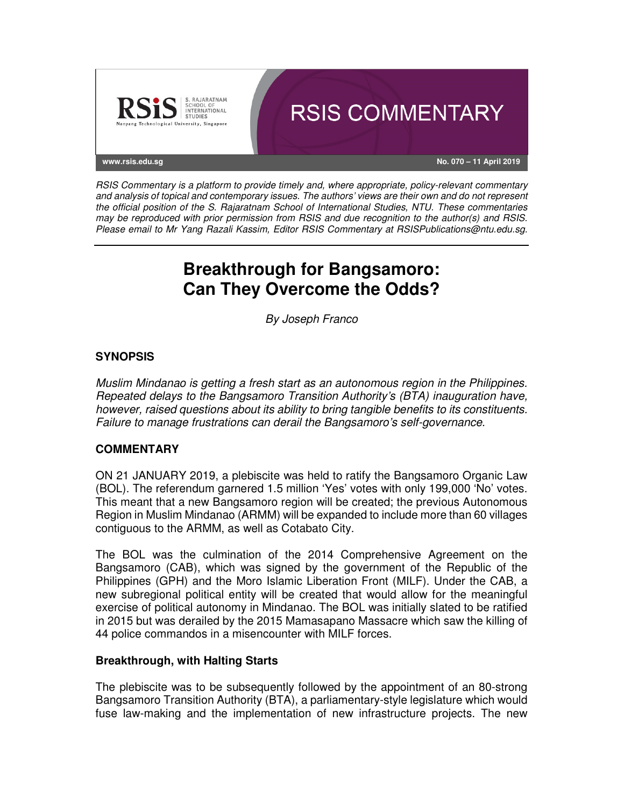

RSIS Commentary is a platform to provide timely and, where appropriate, policy-relevant commentary and analysis of topical and contemporary issues. The authors' views are their own and do not represent the official position of the S. Rajaratnam School of International Studies, NTU. These commentaries may be reproduced with prior permission from RSIS and due recognition to the author(s) and RSIS. Please email to Mr Yang Razali Kassim, Editor RSIS Commentary at RSISPublications@ntu.edu.sg.

# **Breakthrough for Bangsamoro: Can They Overcome the Odds?**

By Joseph Franco

# **SYNOPSIS**

Muslim Mindanao is getting a fresh start as an autonomous region in the Philippines. Repeated delays to the Bangsamoro Transition Authority's (BTA) inauguration have, however, raised questions about its ability to bring tangible benefits to its constituents. Failure to manage frustrations can derail the Bangsamoro's self-governance.

## **COMMENTARY**

ON 21 JANUARY 2019, a plebiscite was held to ratify the Bangsamoro Organic Law (BOL). The referendum garnered 1.5 million 'Yes' votes with only 199,000 'No' votes. This meant that a new Bangsamoro region will be created; the previous Autonomous Region in Muslim Mindanao (ARMM) will be expanded to include more than 60 villages contiguous to the ARMM, as well as Cotabato City.

The BOL was the culmination of the 2014 Comprehensive Agreement on the Bangsamoro (CAB), which was signed by the government of the Republic of the Philippines (GPH) and the Moro Islamic Liberation Front (MILF). Under the CAB, a new subregional political entity will be created that would allow for the meaningful exercise of political autonomy in Mindanao. The BOL was initially slated to be ratified in 2015 but was derailed by the 2015 Mamasapano Massacre which saw the killing of 44 police commandos in a misencounter with MILF forces.

## **Breakthrough, with Halting Starts**

The plebiscite was to be subsequently followed by the appointment of an 80-strong Bangsamoro Transition Authority (BTA), a parliamentary-style legislature which would fuse law-making and the implementation of new infrastructure projects. The new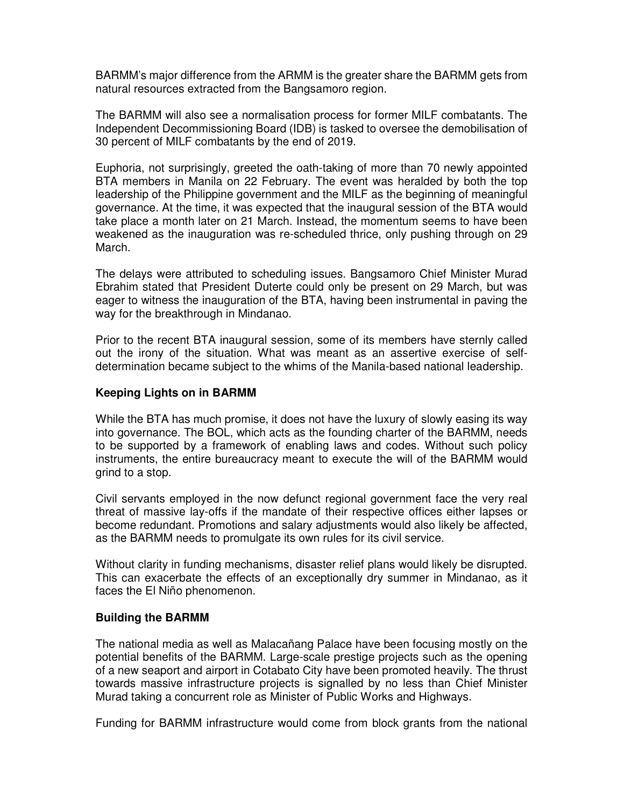BARMM's major difference from the ARMM is the greater share the BARMM gets from natural resources extracted from the Bangsamoro region.

The BARMM will also see a normalisation process for former MILF combatants. The Independent Decommissioning Board (IDB) is tasked to oversee the demobilisation of 30 percent of MILF combatants by the end of 2019.

Euphoria, not surprisingly, greeted the oath-taking of more than 70 newly appointed BTA members in Manila on 22 February. The event was heralded by both the top leadership of the Philippine government and the MILF as the beginning of meaningful governance. At the time, it was expected that the inaugural session of the BTA would take place a month later on 21 March. Instead, the momentum seems to have been weakened as the inauguration was re-scheduled thrice, only pushing through on 29 March.

The delays were attributed to scheduling issues. Bangsamoro Chief Minister Murad Ebrahim stated that President Duterte could only be present on 29 March, but was eager to witness the inauguration of the BTA, having been instrumental in paving the way for the breakthrough in Mindanao.

Prior to the recent BTA inaugural session, some of its members have sternly called out the irony of the situation. What was meant as an assertive exercise of selfdetermination became subject to the whims of the Manila-based national leadership.

#### **Keeping Lights on in BARMM**

While the BTA has much promise, it does not have the luxury of slowly easing its way into governance. The BOL, which acts as the founding charter of the BARMM, needs to be supported by a framework of enabling laws and codes. Without such policy instruments, the entire bureaucracy meant to execute the will of the BARMM would grind to a stop.

Civil servants employed in the now defunct regional government face the very real threat of massive lay-offs if the mandate of their respective offices either lapses or become redundant. Promotions and salary adjustments would also likely be affected, as the BARMM needs to promulgate its own rules for its civil service.

Without clarity in funding mechanisms, disaster relief plans would likely be disrupted. This can exacerbate the effects of an exceptionally dry summer in Mindanao, as it faces the El Niño phenomenon.

#### **Building the BARMM**

The national media as well as Malacañang Palace have been focusing mostly on the potential benefits of the BARMM. Large-scale prestige projects such as the opening of a new seaport and airport in Cotabato City have been promoted heavily. The thrust towards massive infrastructure projects is signalled by no less than Chief Minister Murad taking a concurrent role as Minister of Public Works and Highways.

Funding for BARMM infrastructure would come from block grants from the national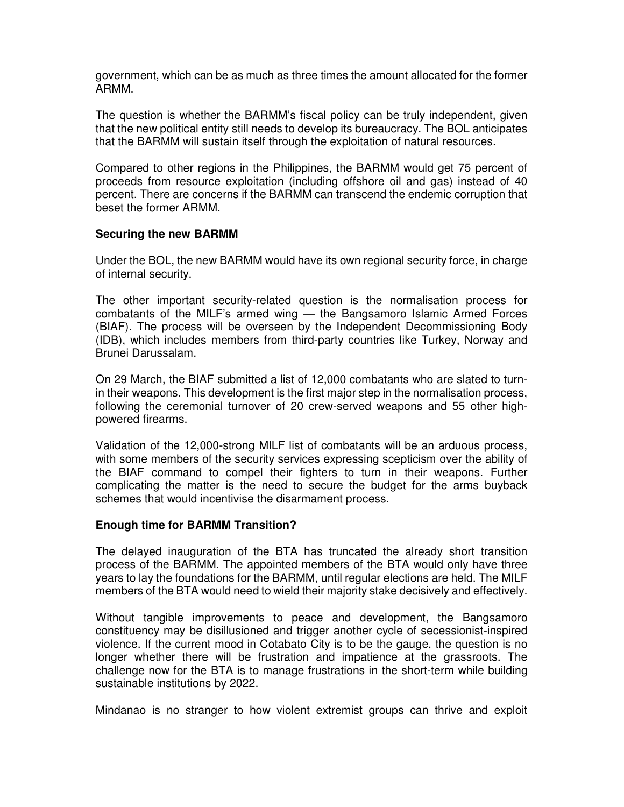government, which can be as much as three times the amount allocated for the former ARMM.

The question is whether the BARMM's fiscal policy can be truly independent, given that the new political entity still needs to develop its bureaucracy. The BOL anticipates that the BARMM will sustain itself through the exploitation of natural resources.

Compared to other regions in the Philippines, the BARMM would get 75 percent of proceeds from resource exploitation (including offshore oil and gas) instead of 40 percent. There are concerns if the BARMM can transcend the endemic corruption that beset the former ARMM.

#### **Securing the new BARMM**

Under the BOL, the new BARMM would have its own regional security force, in charge of internal security.

The other important security-related question is the normalisation process for combatants of the MILF's armed wing — the Bangsamoro Islamic Armed Forces (BIAF). The process will be overseen by the Independent Decommissioning Body (IDB), which includes members from third-party countries like Turkey, Norway and Brunei Darussalam.

On 29 March, the BIAF submitted a list of 12,000 combatants who are slated to turnin their weapons. This development is the first major step in the normalisation process, following the ceremonial turnover of 20 crew-served weapons and 55 other highpowered firearms.

Validation of the 12,000-strong MILF list of combatants will be an arduous process, with some members of the security services expressing scepticism over the ability of the BIAF command to compel their fighters to turn in their weapons. Further complicating the matter is the need to secure the budget for the arms buyback schemes that would incentivise the disarmament process.

#### **Enough time for BARMM Transition?**

The delayed inauguration of the BTA has truncated the already short transition process of the BARMM. The appointed members of the BTA would only have three years to lay the foundations for the BARMM, until regular elections are held. The MILF members of the BTA would need to wield their majority stake decisively and effectively.

Without tangible improvements to peace and development, the Bangsamoro constituency may be disillusioned and trigger another cycle of secessionist-inspired violence. If the current mood in Cotabato City is to be the gauge, the question is no longer whether there will be frustration and impatience at the grassroots. The challenge now for the BTA is to manage frustrations in the short-term while building sustainable institutions by 2022.

Mindanao is no stranger to how violent extremist groups can thrive and exploit